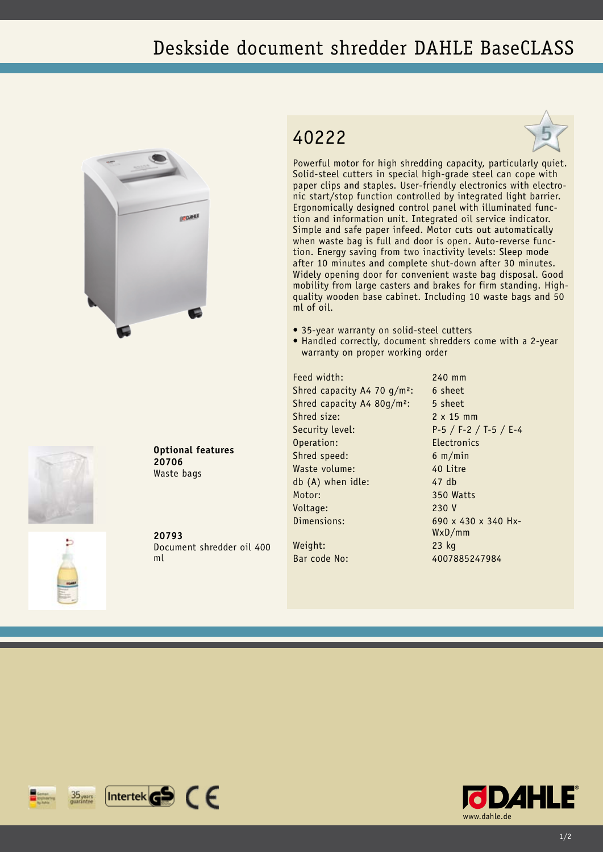## Deskside document shredder DAHLE BaseCLASS





**Optional features 20706** Waste bags

**20793** Document shredder oil 400 ml

## 40222



Powerful motor for high shredding capacity, particularly quiet. Solid-steel cutters in special high-grade steel can cope with paper clips and staples. User-friendly electronics with electronic start/stop function controlled by integrated light barrier. Ergonomically designed control panel with illuminated function and information unit. Integrated oil service indicator. Simple and safe paper infeed. Motor cuts out automatically when waste bag is full and door is open. Auto-reverse function. Energy saving from two inactivity levels: Sleep mode after 10 minutes and complete shut-down after 30 minutes. Widely opening door for convenient waste bag disposal. Good mobility from large casters and brakes for firm standing. Highquality wooden base cabinet. Including 10 waste bags and 50 ml of oil.

- 35-year warranty on solid-steel cutters
- Handled correctly, document shredders come with a 2-year warranty on proper working order

Feed width: 240 mm Shred capacity A4 70  $q/m^2$ : 6 sheet Shred capacity A4 80g/m<sup>2</sup>: 5 sheet Shred size: 2 x 15 mm Security level: P-5 / F-2 / T-5 / E-4 Operation: Electronics Shred speed: 6 m/min Waste volume: 40 Litre db (A) when idle: 47 db Motor: 350 Watts Voltage: 230 V Dimensions: 690 x 430 x 340 Hx-Weight: 23 kg

WxD/mm

Bar code No: 4007885247984